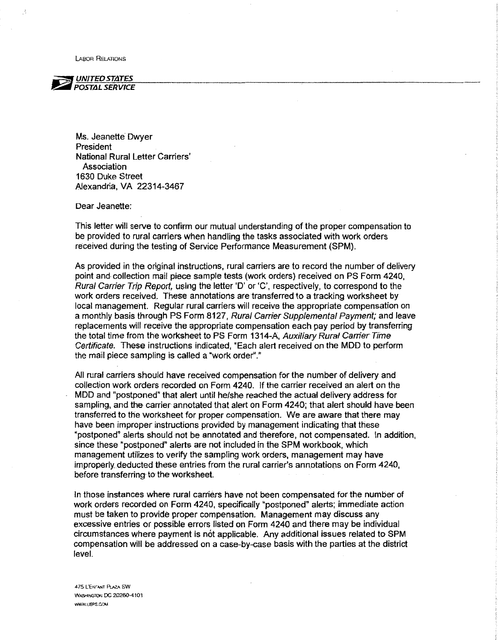LABOR RELATIONS



Ms. Jeanette Dwyer President National Rural Letter Carriers' Association 1630 Duke Street Alexandria, VA 22314-3467

Dear Jeanette:

This letter will serve to confirm our mutual understanding of the proper compensation to be provided to rural carriers When handling the tasks associated with work orders received during the testing of Service Performance Measurement (SPM).

As provided in the original instructions, rural carriers are to record the number of delivery point and collection mail piece sample tests (work orders) received on PS Form 4240, Rural Carrier Trip Report, using the letter 'D' or 'C', respectively, to correspond to the work orders received. These annotations are transferred to a tracking worksheet by local management. Regular rural carriers will receive the appropriate compensation on a monthly basis through PS Form 8127, Rural Carrier Supplemental Payment; and leave replacements will receive the appropriate compensation each pay period by transferring the total time from the worksheet to PS Form 1314-A, Auxiliary Rural Carrier Time Certificate. These instructions indicated, "Each alert received on the MOD to perform the mail piece sampling is called a "work order"."

Ail rural carriers should have received compensation for the number of delivery and cotlection work orders recorded on Form 4240. If the carrier received an alert on the MOD and "postponed" that alert until he/she reached the actuaf delivery address for sampling, and the carrier annotated that alert on Form 4240; that alert should have been transferred to the worksheet for proper compensation. We are aware that there may have been improper instructions provided by management indicating that these "postponed" alerts should not be annotated and therefore, not compensated. In addition, since these "postponed" alerts are not included in the SPM workbook, which management utilizes to verify the sampling work orders, management may have improperly\_ deducted these entries from the rural carrier's annotations on Form 4240, before transferring to the worksheet.

In those instances where rural carriers have not been compensated for the number of work orders recorded on Form 4240, specifically "postponed" alerts; immediate action must be taken to provide proper compensation. Management may discuss any excessive entries or possible errors listed on Form 4240 and there may be individual circumstances where payment is not applicable. Any additional issues related to SPM compensation will be addressed on a case-by-case basis with the parties at the district level.